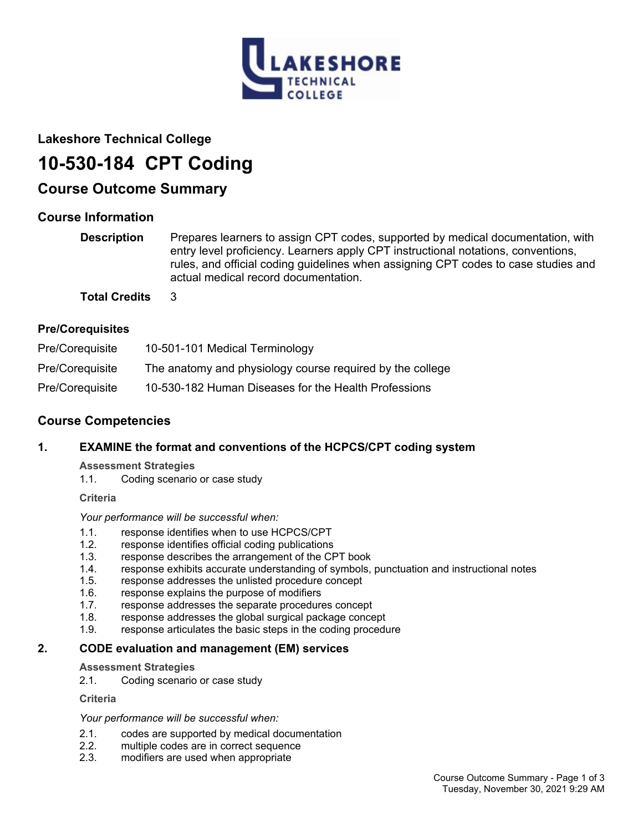

## **Lakeshore Technical College**

# **10-530-184 CPT Coding**

## **Course Outcome Summary**

## **Course Information**

| <b>Description</b>   | Prepares learners to assign CPT codes, supported by medical documentation, with<br>entry level proficiency. Learners apply CPT instructional notations, conventions,<br>rules, and official coding guidelines when assigning CPT codes to case studies and<br>actual medical record documentation. |
|----------------------|----------------------------------------------------------------------------------------------------------------------------------------------------------------------------------------------------------------------------------------------------------------------------------------------------|
| <b>Total Credits</b> | $\mathbf{R}$                                                                                                                                                                                                                                                                                       |

## **Pre/Corequisites**

| Pre/Coreguisite | 10-501-101 Medical Terminology                            |
|-----------------|-----------------------------------------------------------|
| Pre/Coreguisite | The anatomy and physiology course required by the college |
| Pre/Coreguisite | 10-530-182 Human Diseases for the Health Professions      |

## **Course Competencies**

## **1. EXAMINE the format and conventions of the HCPCS/CPT coding system**

#### **Assessment Strategies**

1.1. Coding scenario or case study

**Criteria**

*Your performance will be successful when:*

- 1.1. response identifies when to use HCPCS/CPT
- 1.2. response identifies official coding publications
- 1.3. response describes the arrangement of the CPT book
- 1.4. response exhibits accurate understanding of symbols, punctuation and instructional notes
- 1.5. response addresses the unlisted procedure concept
- 1.6. response explains the purpose of modifiers
- 1.7. response addresses the separate procedures concept
- 1.8. response addresses the global surgical package concept
- 1.9. response articulates the basic steps in the coding procedure

## **2. CODE evaluation and management (EM) services**

**Assessment Strategies**

2.1. Coding scenario or case study

**Criteria**

*Your performance will be successful when:*

- 2.1. codes are supported by medical documentation<br>2.2. multiple codes are in correct sequence
- multiple codes are in correct sequence
- 2.3. modifiers are used when appropriate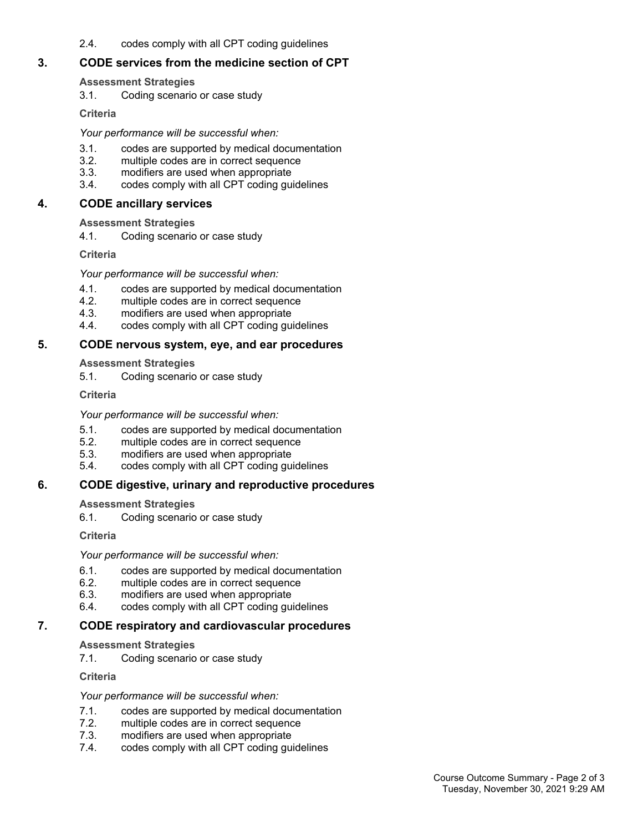2.4. codes comply with all CPT coding guidelines

## **3. CODE services from the medicine section of CPT**

## **Assessment Strategies**

3.1. Coding scenario or case study

**Criteria**

## *Your performance will be successful when:*

- 3.1. codes are supported by medical documentation
- 3.2. multiple codes are in correct sequence
- 3.3. modifiers are used when appropriate
- 3.4. codes comply with all CPT coding guidelines

## **4. CODE ancillary services**

**Assessment Strategies**

4.1. Coding scenario or case study

**Criteria**

## *Your performance will be successful when:*

- 4.1. codes are supported by medical documentation<br>4.2. multiple codes are in correct sequence
- multiple codes are in correct sequence
- 4.3. modifiers are used when appropriate
- 4.4. codes comply with all CPT coding guidelines

## **5. CODE nervous system, eye, and ear procedures**

## **Assessment Strategies**

5.1. Coding scenario or case study

**Criteria**

#### *Your performance will be successful when:*

- 5.1. codes are supported by medical documentation
- 5.2. multiple codes are in correct sequence<br>5.3. modifiers are used when appropriate
- modifiers are used when appropriate
- 5.4. codes comply with all CPT coding guidelines

## **6. CODE digestive, urinary and reproductive procedures**

## **Assessment Strategies**

6.1. Coding scenario or case study

**Criteria**

## *Your performance will be successful when:*

- 6.1. codes are supported by medical documentation
- 6.2. multiple codes are in correct sequence
- 6.3. modifiers are used when appropriate
- 6.4. codes comply with all CPT coding guidelines

## **7. CODE respiratory and cardiovascular procedures**

## **Assessment Strategies**

7.1. Coding scenario or case study

**Criteria**

## *Your performance will be successful when:*

- 7.1. codes are supported by medical documentation
- 7.2. multiple codes are in correct sequence
- 7.3. modifiers are used when appropriate
- 7.4. codes comply with all CPT coding guidelines